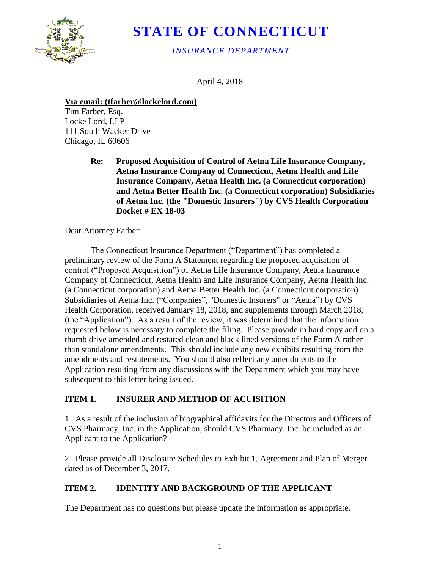

# **STATE OF CONNECTICUT**

*INSURANCE DEPARTMENT*

April 4, 2018

#### **Via email: (tfarber@lockelord.com)**

Tim Farber, Esq. Locke Lord, LLP 111 South Wacker Drive Chicago, IL 60606

> **Re: Proposed Acquisition of Control of Aetna Life Insurance Company, Aetna Insurance Company of Connecticut, Aetna Health and Life Insurance Company, Aetna Health Inc. (a Connecticut corporation) and Aetna Better Health Inc. (a Connecticut corporation) Subsidiaries of Aetna Inc. (the "Domestic Insurers") by CVS Health Corporation Docket # EX 18-03**

Dear Attorney Farber:

The Connecticut Insurance Department ("Department") has completed a preliminary review of the Form A Statement regarding the proposed acquisition of control ("Proposed Acquisition") of Aetna Life Insurance Company, Aetna Insurance Company of Connecticut, Aetna Health and Life Insurance Company, Aetna Health Inc. (a Connecticut corporation) and Aetna Better Health Inc. (a Connecticut corporation) Subsidiaries of Aetna Inc. ("Companies", "Domestic Insurers" or "Aetna") by CVS Health Corporation, received January 18, 2018, and supplements through March 2018, (the "Application"). As a result of the review, it was determined that the information requested below is necessary to complete the filing. Please provide in hard copy and on a thumb drive amended and restated clean and black lined versions of the Form A rather than standalone amendments. This should include any new exhibits resulting from the amendments and restatements. You should also reflect any amendments to the Application resulting from any discussions with the Department which you may have subsequent to this letter being issued.

# **ITEM 1. INSURER AND METHOD OF ACUISITION**

1. As a result of the inclusion of biographical affidavits for the Directors and Officers of CVS Pharmacy, Inc. in the Application, should CVS Pharmacy, Inc. be included as an Applicant to the Application?

2. Please provide all Disclosure Schedules to Exhibit 1, Agreement and Plan of Merger dated as of December 3, 2017.

# **ITEM 2. IDENTITY AND BACKGROUND OF THE APPLICANT**

The Department has no questions but please update the information as appropriate.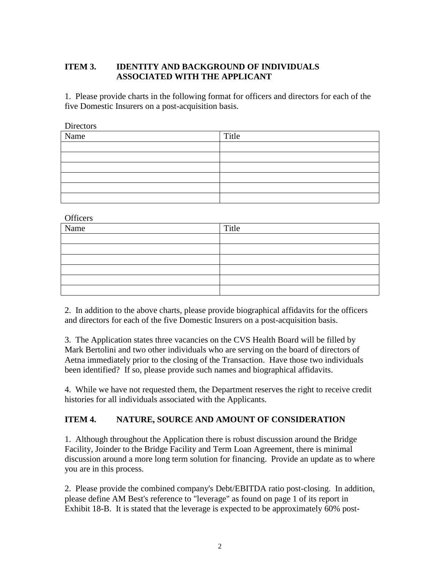#### **ITEM 3. IDENTITY AND BACKGROUND OF INDIVIDUALS ASSOCIATED WITH THE APPLICANT**

1. Please provide charts in the following format for officers and directors for each of the five Domestic Insurers on a post-acquisition basis.

| Directors |       |
|-----------|-------|
| Name      | Title |
|           |       |
|           |       |
|           |       |
|           |       |
|           |       |
|           |       |

**Officers** 

| Name | Title |
|------|-------|
|      |       |
|      |       |
|      |       |
|      |       |
|      |       |
|      |       |

2. In addition to the above charts, please provide biographical affidavits for the officers and directors for each of the five Domestic Insurers on a post-acquisition basis.

3. The Application states three vacancies on the CVS Health Board will be filled by Mark Bertolini and two other individuals who are serving on the board of directors of Aetna immediately prior to the closing of the Transaction. Have those two individuals been identified? If so, please provide such names and biographical affidavits.

4. While we have not requested them, the Department reserves the right to receive credit histories for all individuals associated with the Applicants.

#### **ITEM 4. NATURE, SOURCE AND AMOUNT OF CONSIDERATION**

1. Although throughout the Application there is robust discussion around the Bridge Facility, Joinder to the Bridge Facility and Term Loan Agreement, there is minimal discussion around a more long term solution for financing. Provide an update as to where you are in this process.

2. Please provide the combined company's Debt/EBITDA ratio post-closing. In addition, please define AM Best's reference to "leverage" as found on page 1 of its report in Exhibit 18-B. It is stated that the leverage is expected to be approximately 60% post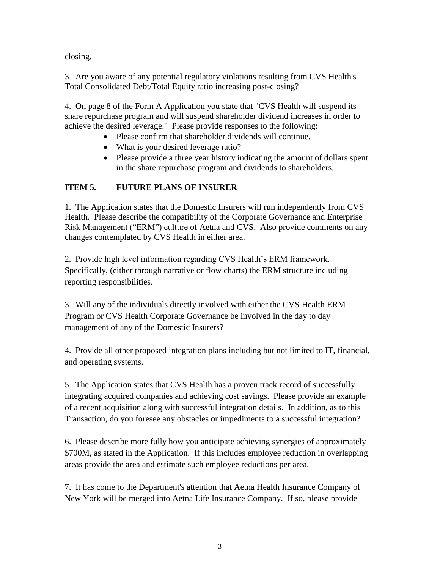closing.

3. Are you aware of any potential regulatory violations resulting from CVS Health's Total Consolidated Debt/Total Equity ratio increasing post-closing?

4. On page 8 of the Form A Application you state that "CVS Health will suspend its share repurchase program and will suspend shareholder dividend increases in order to achieve the desired leverage." Please provide responses to the following:

- Please confirm that shareholder dividends will continue.
- What is your desired leverage ratio?
- Please provide a three year history indicating the amount of dollars spent in the share repurchase program and dividends to shareholders.

# **ITEM 5. FUTURE PLANS OF INSURER**

1. The Application states that the Domestic Insurers will run independently from CVS Health. Please describe the compatibility of the Corporate Governance and Enterprise Risk Management ("ERM") culture of Aetna and CVS. Also provide comments on any changes contemplated by CVS Health in either area.

2. Provide high level information regarding CVS Health's ERM framework. Specifically, (either through narrative or flow charts) the ERM structure including reporting responsibilities.

3. Will any of the individuals directly involved with either the CVS Health ERM Program or CVS Health Corporate Governance be involved in the day to day management of any of the Domestic Insurers?

4. Provide all other proposed integration plans including but not limited to IT, financial, and operating systems.

5. The Application states that CVS Health has a proven track record of successfully integrating acquired companies and achieving cost savings. Please provide an example of a recent acquisition along with successful integration details. In addition, as to this Transaction, do you foresee any obstacles or impediments to a successful integration?

6. Please describe more fully how you anticipate achieving synergies of approximately \$700M, as stated in the Application. If this includes employee reduction in overlapping areas provide the area and estimate such employee reductions per area.

7. It has come to the Department's attention that Aetna Health Insurance Company of New York will be merged into Aetna Life Insurance Company. If so, please provide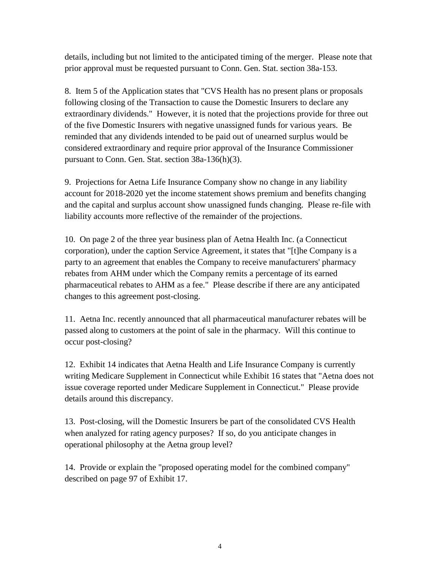details, including but not limited to the anticipated timing of the merger. Please note that prior approval must be requested pursuant to Conn. Gen. Stat. section 38a-153.

8. Item 5 of the Application states that "CVS Health has no present plans or proposals following closing of the Transaction to cause the Domestic Insurers to declare any extraordinary dividends." However, it is noted that the projections provide for three out of the five Domestic Insurers with negative unassigned funds for various years. Be reminded that any dividends intended to be paid out of unearned surplus would be considered extraordinary and require prior approval of the Insurance Commissioner pursuant to Conn. Gen. Stat. section 38a-136(h)(3).

9. Projections for Aetna Life Insurance Company show no change in any liability account for 2018-2020 yet the income statement shows premium and benefits changing and the capital and surplus account show unassigned funds changing. Please re-file with liability accounts more reflective of the remainder of the projections.

10. On page 2 of the three year business plan of Aetna Health Inc. (a Connecticut corporation), under the caption Service Agreement, it states that "[t]he Company is a party to an agreement that enables the Company to receive manufacturers' pharmacy rebates from AHM under which the Company remits a percentage of its earned pharmaceutical rebates to AHM as a fee." Please describe if there are any anticipated changes to this agreement post-closing.

11. Aetna Inc. recently announced that all pharmaceutical manufacturer rebates will be passed along to customers at the point of sale in the pharmacy. Will this continue to occur post-closing?

12. Exhibit 14 indicates that Aetna Health and Life Insurance Company is currently writing Medicare Supplement in Connecticut while Exhibit 16 states that "Aetna does not issue coverage reported under Medicare Supplement in Connecticut." Please provide details around this discrepancy.

13. Post-closing, will the Domestic Insurers be part of the consolidated CVS Health when analyzed for rating agency purposes? If so, do you anticipate changes in operational philosophy at the Aetna group level?

14. Provide or explain the "proposed operating model for the combined company" described on page 97 of Exhibit 17.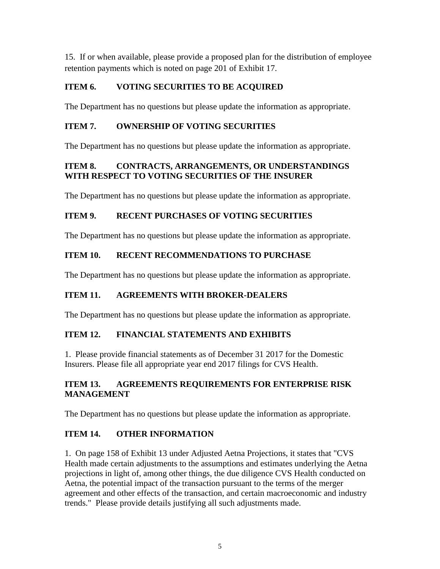15. If or when available, please provide a proposed plan for the distribution of employee retention payments which is noted on page 201 of Exhibit 17.

# **ITEM 6. VOTING SECURITIES TO BE ACQUIRED**

The Department has no questions but please update the information as appropriate.

# **ITEM 7. OWNERSHIP OF VOTING SECURITIES**

The Department has no questions but please update the information as appropriate.

#### **ITEM 8. CONTRACTS, ARRANGEMENTS, OR UNDERSTANDINGS WITH RESPECT TO VOTING SECURITIES OF THE INSURER**

The Department has no questions but please update the information as appropriate.

# **ITEM 9. RECENT PURCHASES OF VOTING SECURITIES**

The Department has no questions but please update the information as appropriate.

# **ITEM 10. RECENT RECOMMENDATIONS TO PURCHASE**

The Department has no questions but please update the information as appropriate.

# **ITEM 11. AGREEMENTS WITH BROKER-DEALERS**

The Department has no questions but please update the information as appropriate.

# **ITEM 12. FINANCIAL STATEMENTS AND EXHIBITS**

1. Please provide financial statements as of December 31 2017 for the Domestic Insurers. Please file all appropriate year end 2017 filings for CVS Health.

#### **ITEM 13. AGREEMENTS REQUIREMENTS FOR ENTERPRISE RISK MANAGEMENT**

The Department has no questions but please update the information as appropriate.

# **ITEM 14. OTHER INFORMATION**

1. On page 158 of Exhibit 13 under Adjusted Aetna Projections, it states that "CVS Health made certain adjustments to the assumptions and estimates underlying the Aetna projections in light of, among other things, the due diligence CVS Health conducted on Aetna, the potential impact of the transaction pursuant to the terms of the merger agreement and other effects of the transaction, and certain macroeconomic and industry trends." Please provide details justifying all such adjustments made.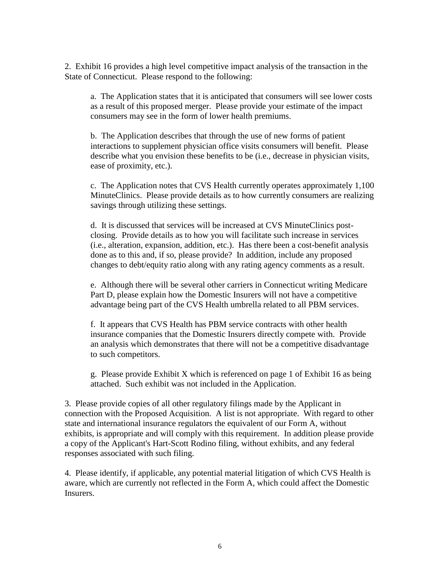2. Exhibit 16 provides a high level competitive impact analysis of the transaction in the State of Connecticut. Please respond to the following:

a. The Application states that it is anticipated that consumers will see lower costs as a result of this proposed merger. Please provide your estimate of the impact consumers may see in the form of lower health premiums.

b. The Application describes that through the use of new forms of patient interactions to supplement physician office visits consumers will benefit. Please describe what you envision these benefits to be (i.e., decrease in physician visits, ease of proximity, etc.).

c. The Application notes that CVS Health currently operates approximately 1,100 MinuteClinics. Please provide details as to how currently consumers are realizing savings through utilizing these settings.

d. It is discussed that services will be increased at CVS MinuteClinics postclosing. Provide details as to how you will facilitate such increase in services (i.e., alteration, expansion, addition, etc.). Has there been a cost-benefit analysis done as to this and, if so, please provide? In addition, include any proposed changes to debt/equity ratio along with any rating agency comments as a result.

e. Although there will be several other carriers in Connecticut writing Medicare Part D, please explain how the Domestic Insurers will not have a competitive advantage being part of the CVS Health umbrella related to all PBM services.

f. It appears that CVS Health has PBM service contracts with other health insurance companies that the Domestic Insurers directly compete with. Provide an analysis which demonstrates that there will not be a competitive disadvantage to such competitors.

g. Please provide Exhibit X which is referenced on page 1 of Exhibit 16 as being attached. Such exhibit was not included in the Application.

3. Please provide copies of all other regulatory filings made by the Applicant in connection with the Proposed Acquisition. A list is not appropriate. With regard to other state and international insurance regulators the equivalent of our Form A, without exhibits, is appropriate and will comply with this requirement. In addition please provide a copy of the Applicant's Hart-Scott Rodino filing, without exhibits, and any federal responses associated with such filing.

4. Please identify, if applicable, any potential material litigation of which CVS Health is aware, which are currently not reflected in the Form A, which could affect the Domestic Insurers.